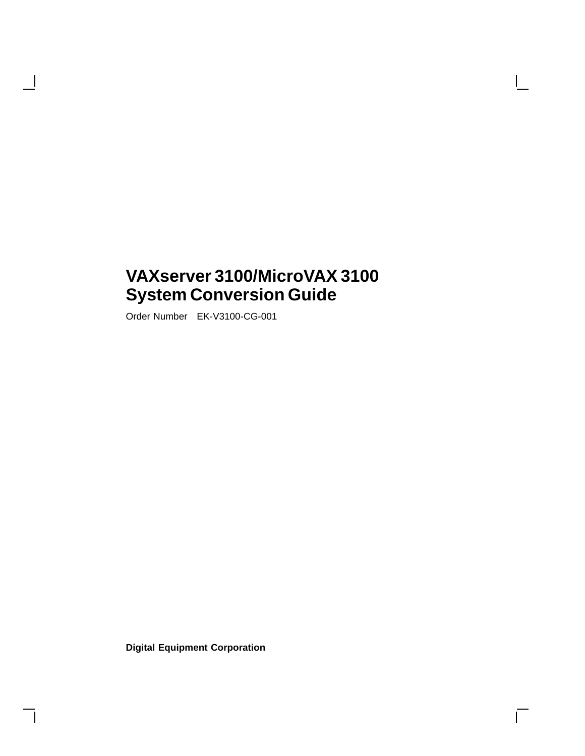## **VAXserver 3100/MicroVAX 3100 System Conversion Guide**

Order Number EK-V3100-CG-001

H

**Digital Equipment Corporation**

 $\overline{\Gamma}$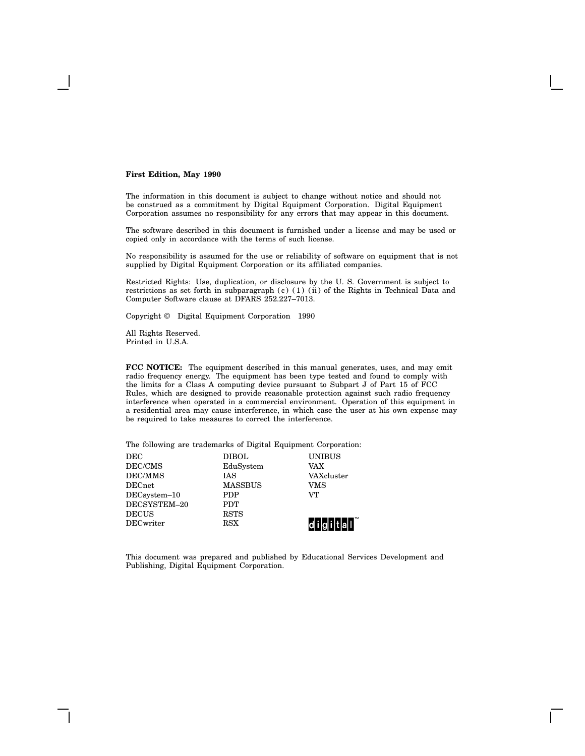#### **First Edition, May 1990**

The information in this document is subject to change without notice and should not be construed as a commitment by Digital Equipment Corporation. Digital Equipment Corporation assumes no responsibility for any errors that may appear in this document.

The software described in this document is furnished under a license and may be used or copied only in accordance with the terms of such license.

No responsibility is assumed for the use or reliability of software on equipment that is not supplied by Digital Equipment Corporation or its affiliated companies.

Restricted Rights: Use, duplication, or disclosure by the U. S. Government is subject to restrictions as set forth in subparagraph (c) (1) (ii) of the Rights in Technical Data and Computer Software clause at DFARS 252.227–7013.

Copyright © Digital Equipment Corporation 1990

All Rights Reserved. Printed in U.S.A.

**FCC NOTICE:** The equipment described in this manual generates, uses, and may emit radio frequency energy. The equipment has been type tested and found to comply with the limits for a Class A computing device pursuant to Subpart J of Part 15 of FCC Rules, which are designed to provide reasonable protection against such radio frequency interference when operated in a commercial environment. Operation of this equipment in a residential area may cause interference, in which case the user at his own expense may be required to take measures to correct the interference.

The following are trademarks of Digital Equipment Corporation:

| $_{\rm DEC}$   | <b>DIBOL</b>   | <b>UNIBUS</b> |
|----------------|----------------|---------------|
| DEC/CMS        | EduSystem      | <b>VAX</b>    |
| <b>DEC/MMS</b> | <b>IAS</b>     | VAXcluster    |
| $\rm{DECnet}$  | <b>MASSBUS</b> | VMS           |
| $DECsystem-10$ | <b>PDP</b>     | VT.           |
| DECSYSTEM-20   | <b>PDT</b>     |               |
| DECUS          | <b>RSTS</b>    |               |
| DECwriter      | RSX            |               |

This document was prepared and published by Educational Services Development and Publishing, Digital Equipment Corporation.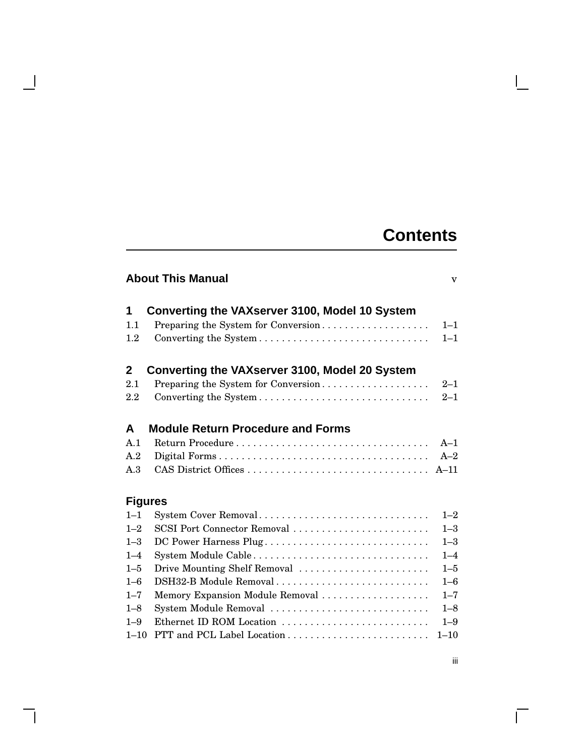# **Contents**

 $\mathbf{I}$ 

| <b>About This Manual</b> |  |
|--------------------------|--|
|                          |  |

| 1            | Converting the VAXserver 3100, Model 10 System  |         |
|--------------|-------------------------------------------------|---------|
| 1.1          | Preparing the System for Conversion             | $1 - 1$ |
| 1.2          |                                                 | $1 - 1$ |
| $\mathbf{2}$ | Converting the VAX server 3100, Model 20 System |         |
| 2.1          | Preparing the System for Conversion             | $2 - 1$ |
| 2.2          |                                                 | $2 - 1$ |
| A            | <b>Module Return Procedure and Forms</b>        |         |
| A.1          |                                                 | $A-1$   |
| A.2          |                                                 | $A-2$   |
| A.3          |                                                 |         |

## **Figures**

- 1

| $1 - 1$ |                                 |         |
|---------|---------------------------------|---------|
| $1 - 2$ |                                 |         |
| $1 - 3$ |                                 | $1 - 3$ |
| $1 - 4$ |                                 | $1 - 4$ |
|         |                                 | $1 - 5$ |
| $1 - 6$ | DSH32-B Module Removal          | $1 - 6$ |
| $1 - 7$ | Memory Expansion Module Removal | $1 - 7$ |
| $1 - 8$ |                                 |         |
| $1 - 9$ | Ethernet ID ROM Location        | $1 - 9$ |
|         |                                 |         |

 $\overline{\Gamma}$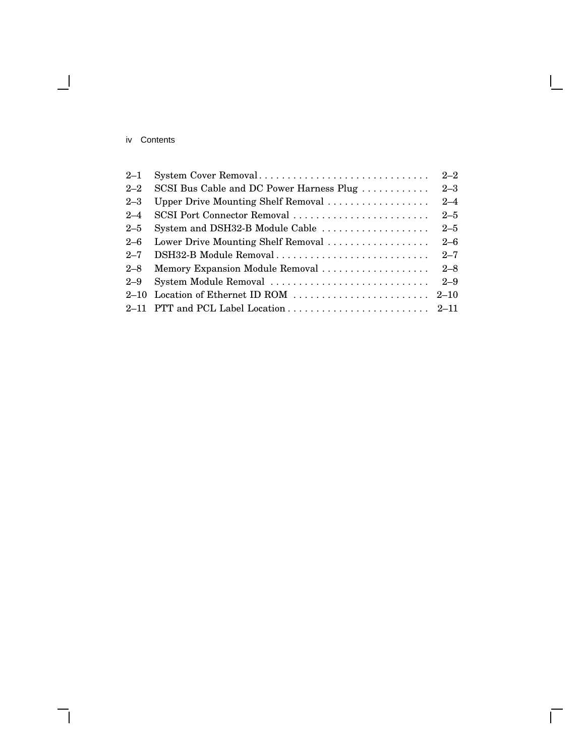#### iv Contents

 $\overline{\phantom{a}}$ 

| $2 - 1$  | System Cover Removal                                                                | $2 - 2$ |
|----------|-------------------------------------------------------------------------------------|---------|
| $2 - 2$  | SCSI Bus Cable and DC Power Harness Plug                                            | $2 - 3$ |
| $2 - 3$  | Upper Drive Mounting Shelf Removal                                                  | $2 - 4$ |
| $2 - 4$  | SCSI Port Connector Removal                                                         | $2 - 5$ |
| $2 - 5$  | System and DSH32-B Module Cable                                                     | $2 - 5$ |
| $2 - 6$  | Lower Drive Mounting Shelf Removal                                                  | $2 - 6$ |
| $2 - 7$  | DSH32-B Module Removal                                                              | $2 - 7$ |
| $2 - 8$  |                                                                                     |         |
| $2 - 9$  | System Module Removal                                                               | $2 - 9$ |
| $2 - 10$ | Location of Ethernet ID ROM $\ldots \ldots \ldots \ldots \ldots \ldots \ldots 2-10$ |         |
|          |                                                                                     |         |

 $\bar{\Gamma}$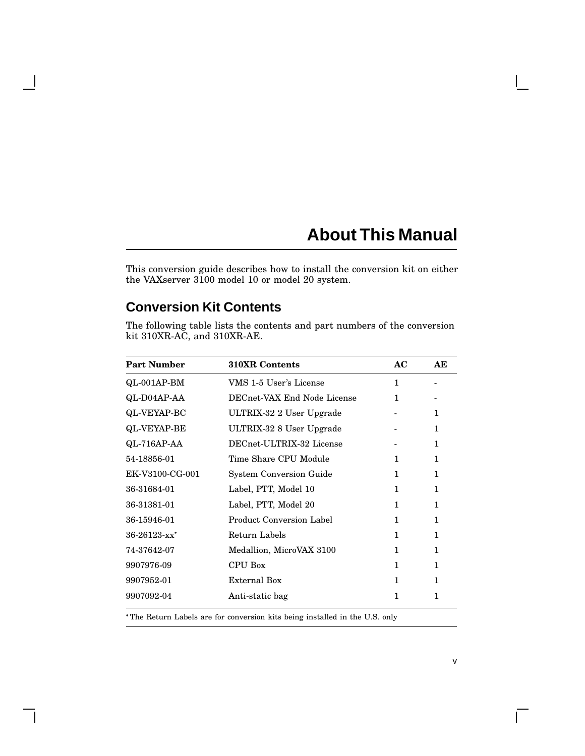# **About This Manual**

This conversion guide describes how to install the conversion kit on either the VAXserver 3100 model 10 or model 20 system.

## **Conversion Kit Contents**

 $\mathbf l$ 

The following table lists the contents and part numbers of the conversion kit 310XR-AC, and 310XR-AE.

| <b>Part Number</b> | <b>310XR Contents</b>           | AC           | AE           |
|--------------------|---------------------------------|--------------|--------------|
| $QL-001AP-BM$      | VMS 1-5 User's License          | $\mathbf{1}$ |              |
| QL-D04AP-AA        | DECnet-VAX End Node License     | 1            |              |
| QL-VEYAP-BC        | ULTRIX-32 2 User Upgrade        |              | 1            |
| <b>QL-VEYAP-BE</b> | ULTRIX-32 8 User Upgrade        |              | 1            |
| QL-716AP-AA        | DECnet-ULTRIX-32 License        |              | 1            |
| 54-18856-01        | Time Share CPU Module           | 1            | 1            |
| EK-V3100-CG-001    | <b>System Conversion Guide</b>  | $\mathbf{1}$ | 1            |
| 36-31684-01        | Label, PTT, Model 10            | $\mathbf{1}$ | 1            |
| 36-31381-01        | Label, PTT, Model 20            | 1            | $\mathbf{1}$ |
| 36-15946-01        | <b>Product Conversion Label</b> | 1            | 1            |
| $36-26123$ -xx*    | Return Labels                   | 1            | 1            |
| 74-37642-07        | Medallion, MicroVAX 3100        | 1            | 1            |
| 9907976-09         | <b>CPU Box</b>                  | $\mathbf{1}$ | 1            |
| 9907952-01         | External Box                    | $\mathbf{1}$ | $\mathbf{1}$ |
| 9907092-04         | Anti-static bag                 | 1            | 1            |
|                    |                                 |              |              |

The Return Labels are for conversion kits being installed in the U.S. only

 $\Box$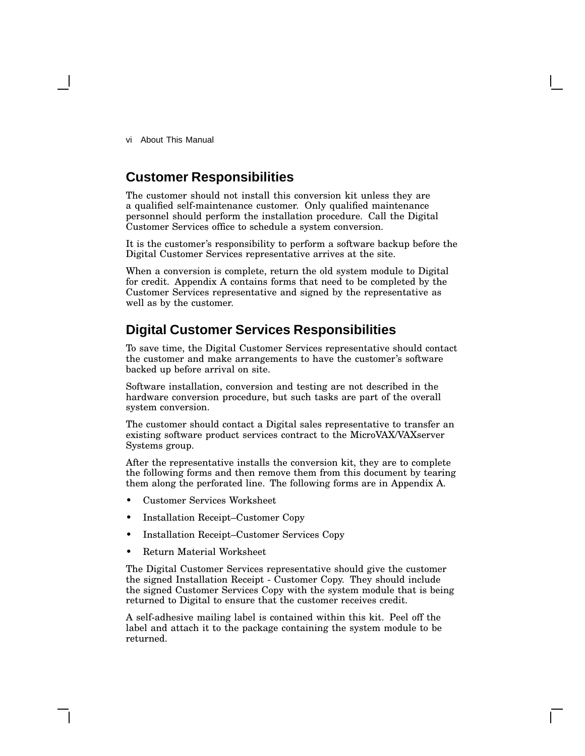vi About This Manual

## **Customer Responsibilities**

The customer should not install this conversion kit unless they are a qualified self-maintenance customer. Only qualified maintenance personnel should perform the installation procedure. Call the Digital Customer Services office to schedule a system conversion.

It is the customer's responsibility to perform a software backup before the Digital Customer Services representative arrives at the site.

When a conversion is complete, return the old system module to Digital for credit. Appendix A contains forms that need to be completed by the Customer Services representative and signed by the representative as well as by the customer.

## **Digital Customer Services Responsibilities**

To save time, the Digital Customer Services representative should contact the customer and make arrangements to have the customer's software backed up before arrival on site.

Software installation, conversion and testing are not described in the hardware conversion procedure, but such tasks are part of the overall system conversion.

The customer should contact a Digital sales representative to transfer an existing software product services contract to the MicroVAX/VAXserver Systems group.

After the representative installs the conversion kit, they are to complete the following forms and then remove them from this document by tearing them along the perforated line. The following forms are in Appendix A.

- Customer Services Worksheet
- Installation Receipt–Customer Copy
- Installation Receipt–Customer Services Copy
- Return Material Worksheet

The Digital Customer Services representative should give the customer the signed Installation Receipt - Customer Copy. They should include the signed Customer Services Copy with the system module that is being returned to Digital to ensure that the customer receives credit.

A self-adhesive mailing label is contained within this kit. Peel off the label and attach it to the package containing the system module to be returned.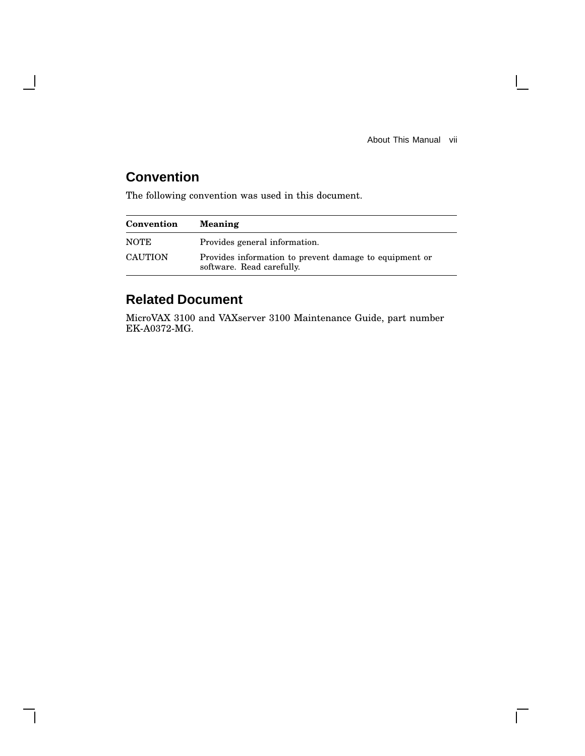About This Manual vii

 $\mathbf{L}$ 

 $\overline{\Gamma}$ 

## **Convention**

 $\overline{\phantom{a}}$ 

The following convention was used in this document.

| Convention     | <b>Meaning</b>                                                                      |  |
|----------------|-------------------------------------------------------------------------------------|--|
| <b>NOTE</b>    | Provides general information.                                                       |  |
| <b>CAUTION</b> | Provides information to prevent damage to equipment or<br>software. Read carefully. |  |

## **Related Document**

MicroVAX 3100 and VAXserver 3100 Maintenance Guide, part number EK-A0372-MG.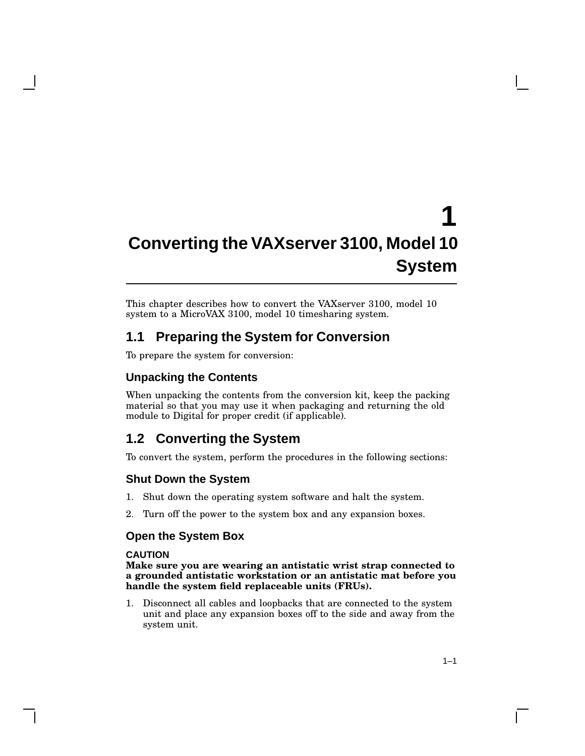# **1 Converting the VAXserver 3100, Model 10 System**

This chapter describes how to convert the VAXserver 3100, model 10 system to a MicroVAX 3100, model 10 timesharing system.

## **1.1 Preparing the System for Conversion**

To prepare the system for conversion:

#### **Unpacking the Contents**

When unpacking the contents from the conversion kit, keep the packing material so that you may use it when packaging and returning the old module to Digital for proper credit (if applicable).

## **1.2 Converting the System**

To convert the system, perform the procedures in the following sections:

#### **Shut Down the System**

- 1. Shut down the operating system software and halt the system.
- 2. Turn off the power to the system box and any expansion boxes.

#### **Open the System Box**

#### **CAUTION**

**Make sure you are wearing an antistatic wrist strap connected to a grounded antistatic workstation or an antistatic mat before you handle the system field replaceable units (FRUs).**

1. Disconnect all cables and loopbacks that are connected to the system unit and place any expansion boxes off to the side and away from the system unit.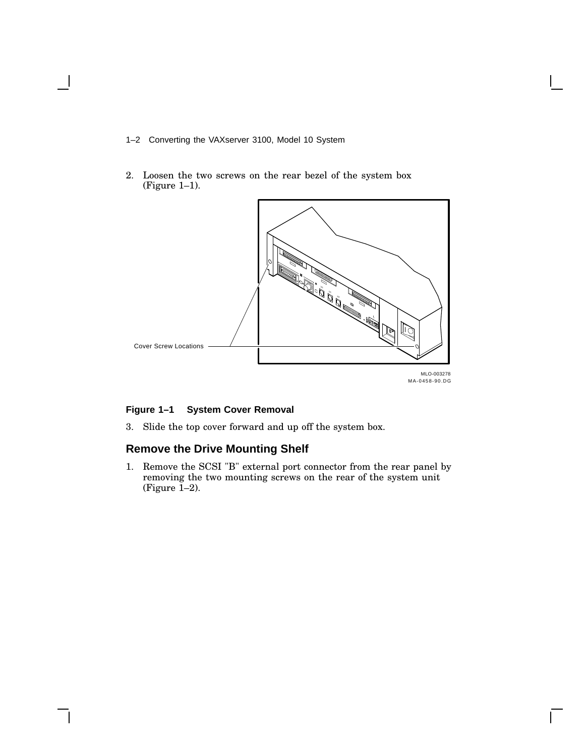- 1–2 Converting the VAXserver 3100, Model 10 System
- 2. Loosen the two screws on the rear bezel of the system box (Figure 1–1).



#### **Figure 1–1 System Cover Removal**

3. Slide the top cover forward and up off the system box.

## **Remove the Drive Mounting Shelf**

1. Remove the SCSI "B" external port connector from the rear panel by removing the two mounting screws on the rear of the system unit (Figure  $1-2$ ).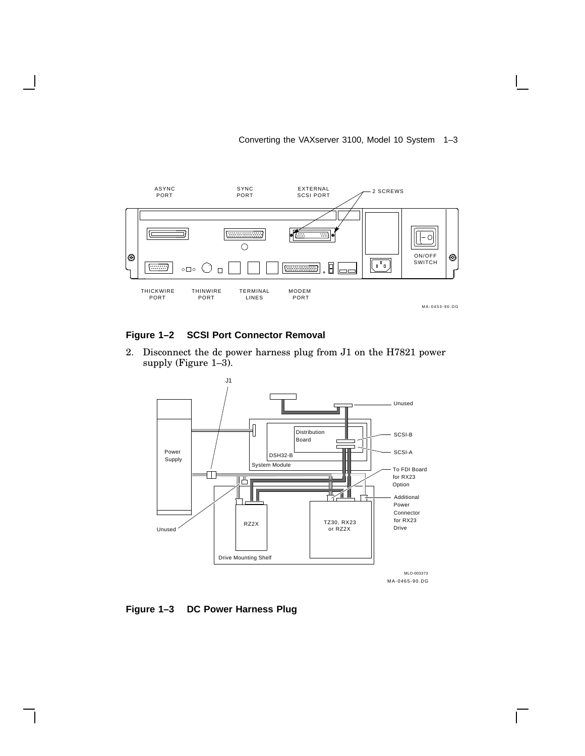#### Converting the VAXserver 3100, Model 10 System 1–3



#### **Figure 1–2 SCSI Port Connector Removal**

2. Disconnect the dc power harness plug from J1 on the H7821 power supply (Figure 1–3).



 $\mathbf{L}$ 

**Figure 1–3 DC Power Harness Plug**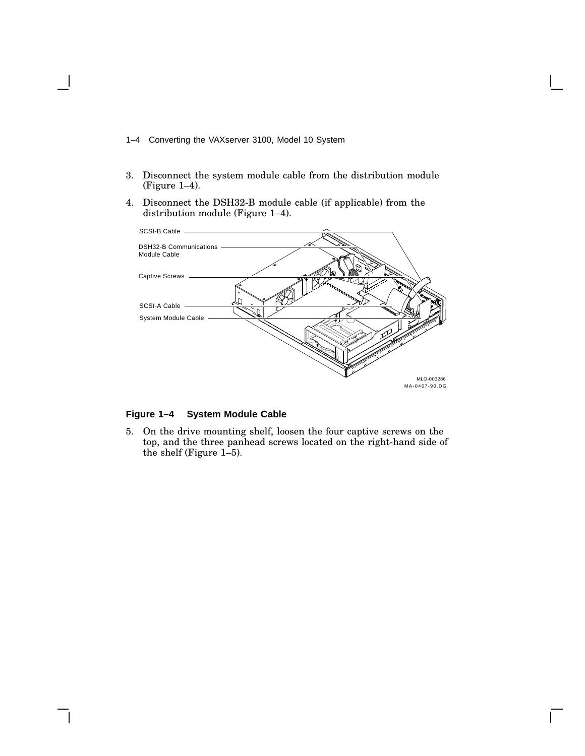- 1–4 Converting the VAXserver 3100, Model 10 System
- 3. Disconnect the system module cable from the distribution module (Figure 1–4).
- 4. Disconnect the DSH32-B module cable (if applicable) from the distribution module (Figure 1–4).



**Figure 1–4 System Module Cable**

5. On the drive mounting shelf, loosen the four captive screws on the top, and the three panhead screws located on the right-hand side of the shelf (Figure 1–5).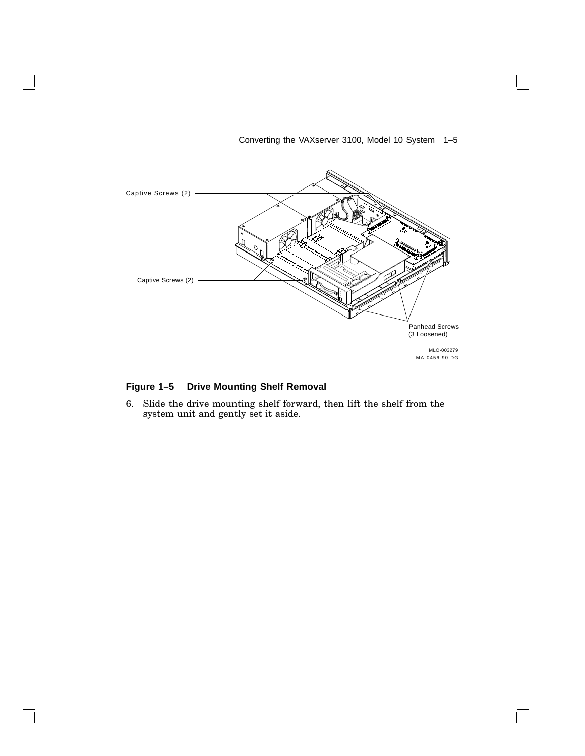

#### Converting the VAXserver 3100, Model 10 System 1–5

 $\mathsf{L}$ 

#### **Figure 1–5 Drive Mounting Shelf Removal**

6. Slide the drive mounting shelf forward, then lift the shelf from the system unit and gently set it aside.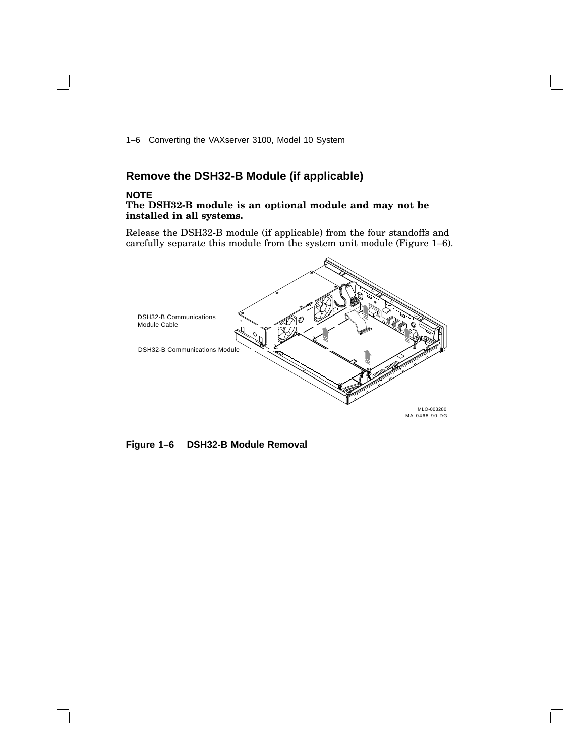1–6 Converting the VAXserver 3100, Model 10 System

## **Remove the DSH32-B Module (if applicable)**

#### **NOTE**

#### **The DSH32-B module is an optional module and may not be installed in all systems.**

Release the DSH32-B module (if applicable) from the four standoffs and carefully separate this module from the system unit module (Figure 1–6).



**Figure 1–6 DSH32-B Module Removal**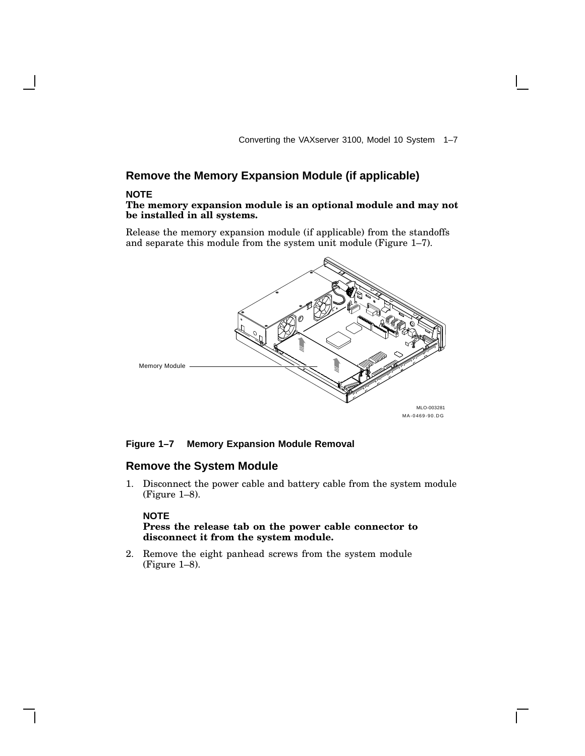Converting the VAXserver 3100, Model 10 System 1–7

## **Remove the Memory Expansion Module (if applicable)**

#### **NOTE**

#### **The memory expansion module is an optional module and may not be installed in all systems.**

Release the memory expansion module (if applicable) from the standoffs and separate this module from the system unit module (Figure 1–7).



#### **Figure 1–7 Memory Expansion Module Removal**

#### **Remove the System Module**

1. Disconnect the power cable and battery cable from the system module (Figure 1–8).

#### **NOTE**

#### **Press the release tab on the power cable connector to disconnect it from the system module.**

2. Remove the eight panhead screws from the system module (Figure 1–8).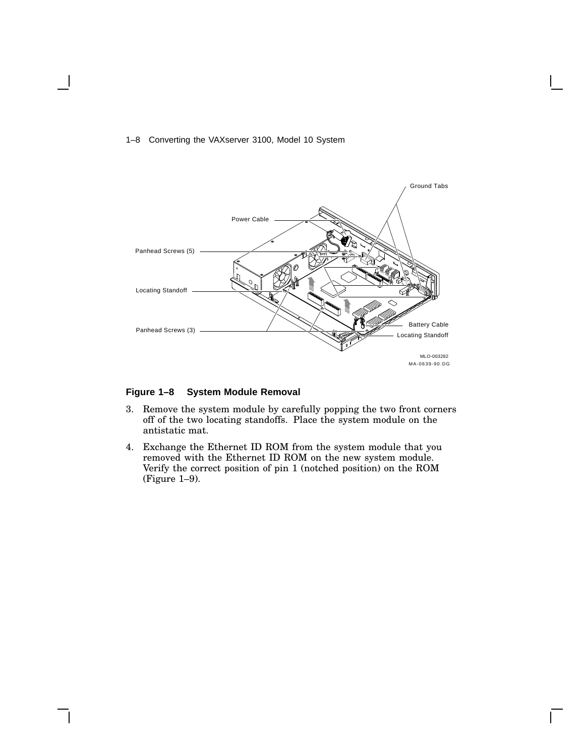#### 1–8 Converting the VAXserver 3100, Model 10 System



#### **Figure 1–8 System Module Removal**

- 3. Remove the system module by carefully popping the two front corners off of the two locating standoffs. Place the system module on the antistatic mat.
- 4. Exchange the Ethernet ID ROM from the system module that you removed with the Ethernet ID ROM on the new system module. Verify the correct position of pin 1 (notched position) on the ROM (Figure 1–9).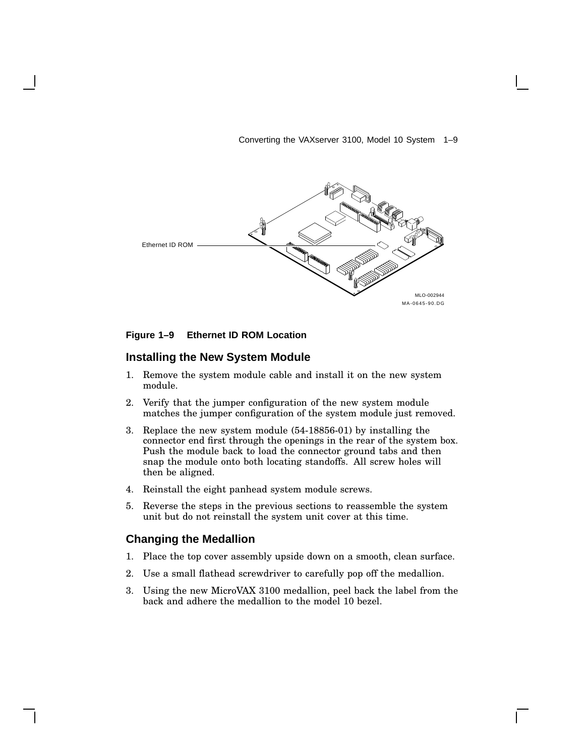Converting the VAXserver 3100, Model 10 System 1–9



#### **Figure 1–9 Ethernet ID ROM Location**

#### **Installing the New System Module**

- 1. Remove the system module cable and install it on the new system module.
- 2. Verify that the jumper configuration of the new system module matches the jumper configuration of the system module just removed.
- 3. Replace the new system module (54-18856-01) by installing the connector end first through the openings in the rear of the system box. Push the module back to load the connector ground tabs and then snap the module onto both locating standoffs. All screw holes will then be aligned.
- 4. Reinstall the eight panhead system module screws.
- 5. Reverse the steps in the previous sections to reassemble the system unit but do not reinstall the system unit cover at this time.

#### **Changing the Medallion**

- 1. Place the top cover assembly upside down on a smooth, clean surface.
- 2. Use a small flathead screwdriver to carefully pop off the medallion.
- 3. Using the new MicroVAX 3100 medallion, peel back the label from the back and adhere the medallion to the model 10 bezel.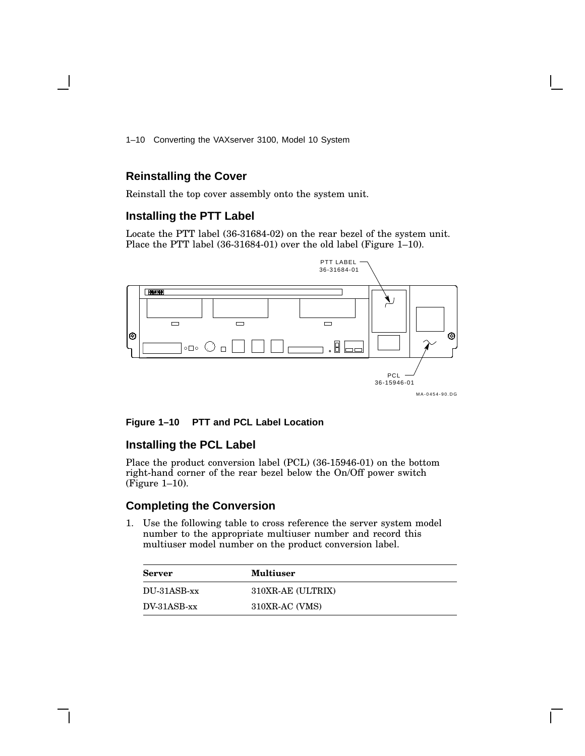1–10 Converting the VAXserver 3100, Model 10 System

#### **Reinstalling the Cover**

Reinstall the top cover assembly onto the system unit.

#### **Installing the PTT Label**

Locate the PTT label (36-31684-02) on the rear bezel of the system unit. Place the PTT label (36-31684-01) over the old label (Figure 1–10).



#### **Figure 1–10 PTT and PCL Label Location**

## **Installing the PCL Label**

Place the product conversion label (PCL) (36-15946-01) on the bottom right-hand corner of the rear bezel below the On/Off power switch (Figure 1–10).

#### **Completing the Conversion**

1. Use the following table to cross reference the server system model number to the appropriate multiuser number and record this multiuser model number on the product conversion label.

| <b>Server</b> | <b>Multiuser</b>  |
|---------------|-------------------|
| DU-31ASB-xx   | 310XR-AE (ULTRIX) |
| $DV-31ASB-xx$ | 310XR-AC (VMS)    |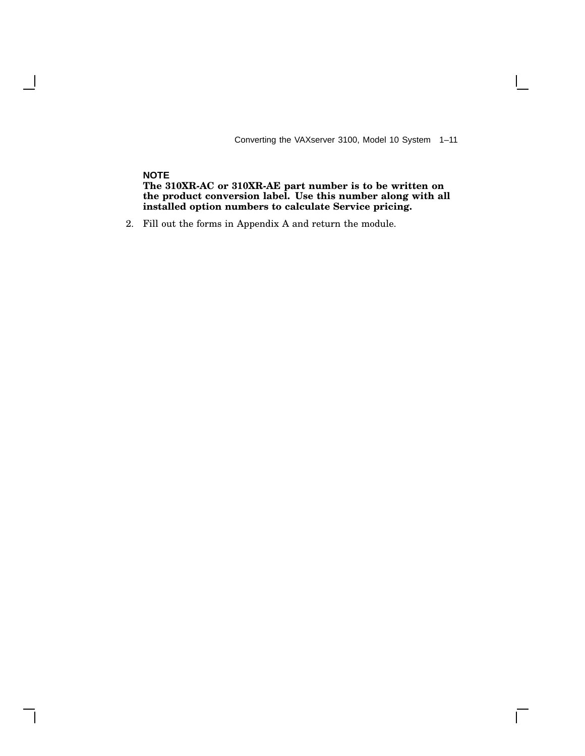Converting the VAXserver 3100, Model 10 System 1–11

 $\overline{\Gamma}$ 

#### **NOTE**

 $\overline{\phantom{a}}$ 

**The 310XR-AC or 310XR-AE part number is to be written on the product conversion label. Use this number along with all installed option numbers to calculate Service pricing.**

2. Fill out the forms in Appendix A and return the module.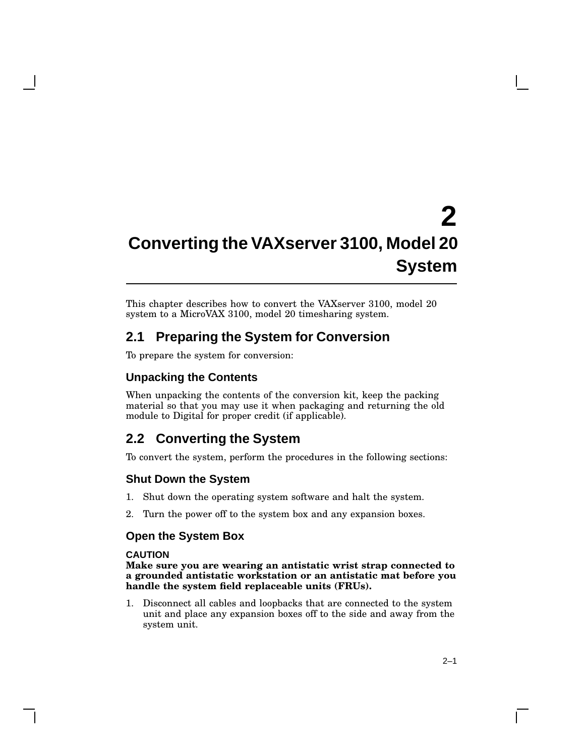# **2 Converting the VAXserver 3100, Model 20 System**

This chapter describes how to convert the VAXserver 3100, model 20 system to a MicroVAX 3100, model 20 timesharing system.

## **2.1 Preparing the System for Conversion**

To prepare the system for conversion:

## **Unpacking the Contents**

When unpacking the contents of the conversion kit, keep the packing material so that you may use it when packaging and returning the old module to Digital for proper credit (if applicable).

## **2.2 Converting the System**

To convert the system, perform the procedures in the following sections:

#### **Shut Down the System**

- 1. Shut down the operating system software and halt the system.
- 2. Turn the power off to the system box and any expansion boxes.

#### **Open the System Box**

#### **CAUTION**

**Make sure you are wearing an antistatic wrist strap connected to a grounded antistatic workstation or an antistatic mat before you handle the system field replaceable units (FRUs).**

1. Disconnect all cables and loopbacks that are connected to the system unit and place any expansion boxes off to the side and away from the system unit.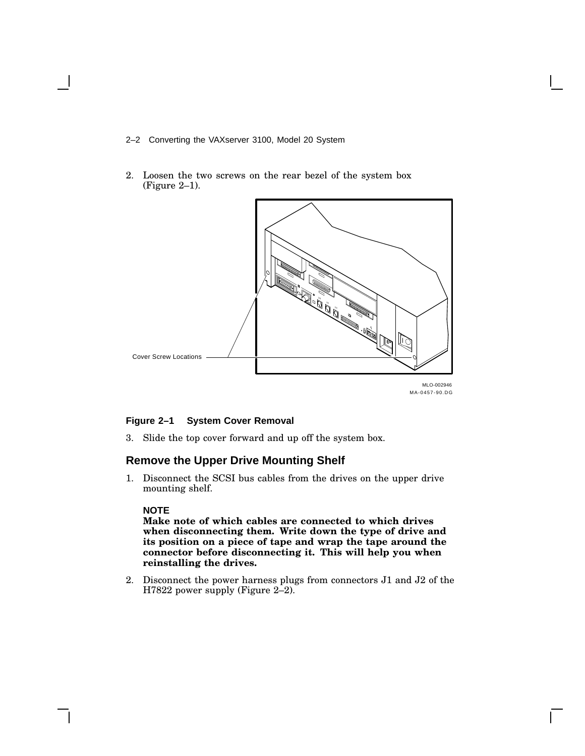- 2–2 Converting the VAXserver 3100, Model 20 System
- 2. Loosen the two screws on the rear bezel of the system box (Figure 2–1).



#### **Figure 2–1 System Cover Removal**

3. Slide the top cover forward and up off the system box.

#### **Remove the Upper Drive Mounting Shelf**

1. Disconnect the SCSI bus cables from the drives on the upper drive mounting shelf.

#### **NOTE**

**Make note of which cables are connected to which drives when disconnecting them. Write down the type of drive and its position on a piece of tape and wrap the tape around the connector before disconnecting it. This will help you when reinstalling the drives.**

2. Disconnect the power harness plugs from connectors J1 and J2 of the H7822 power supply (Figure 2–2).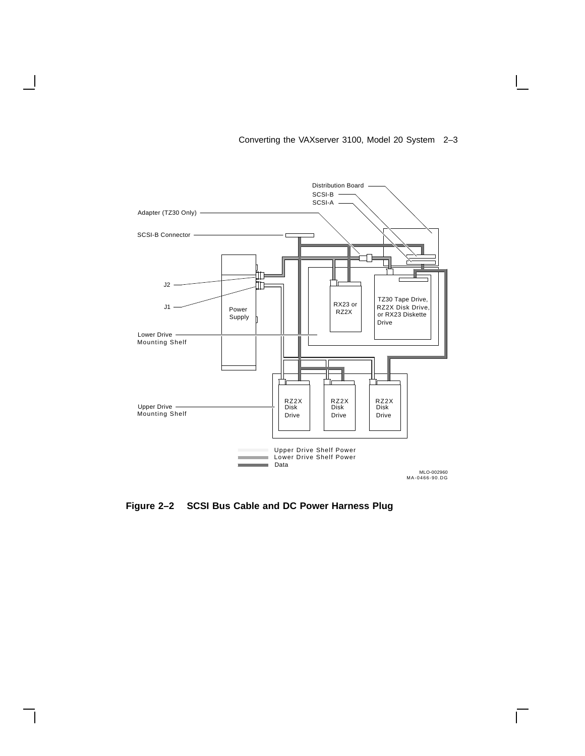

#### Converting the VAXserver 3100, Model 20 System 2–3

 $\mathbf{L}$ 

**Figure 2–2 SCSI Bus Cable and DC Power Harness Plug**

 $\mathbf l$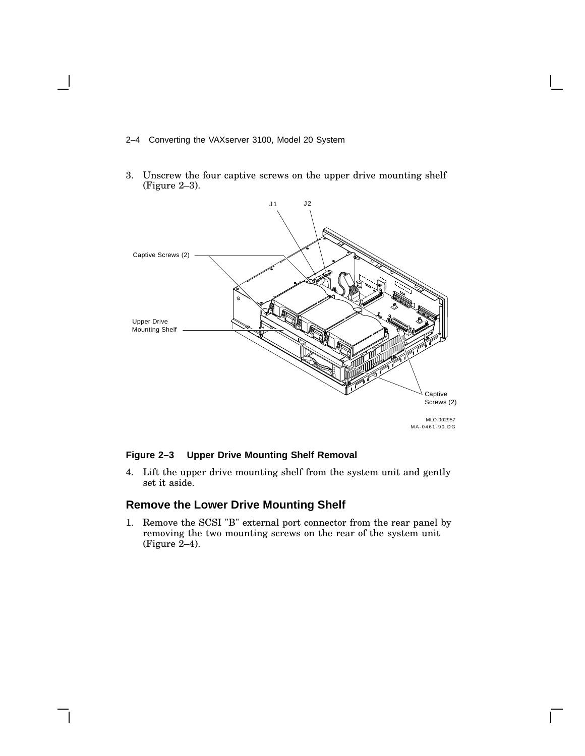- 2–4 Converting the VAXserver 3100, Model 20 System
- 3. Unscrew the four captive screws on the upper drive mounting shelf (Figure 2–3).



#### **Figure 2–3 Upper Drive Mounting Shelf Removal**

4. Lift the upper drive mounting shelf from the system unit and gently set it aside.

## **Remove the Lower Drive Mounting Shelf**

1. Remove the SCSI "B" external port connector from the rear panel by removing the two mounting screws on the rear of the system unit (Figure  $2-4$ ).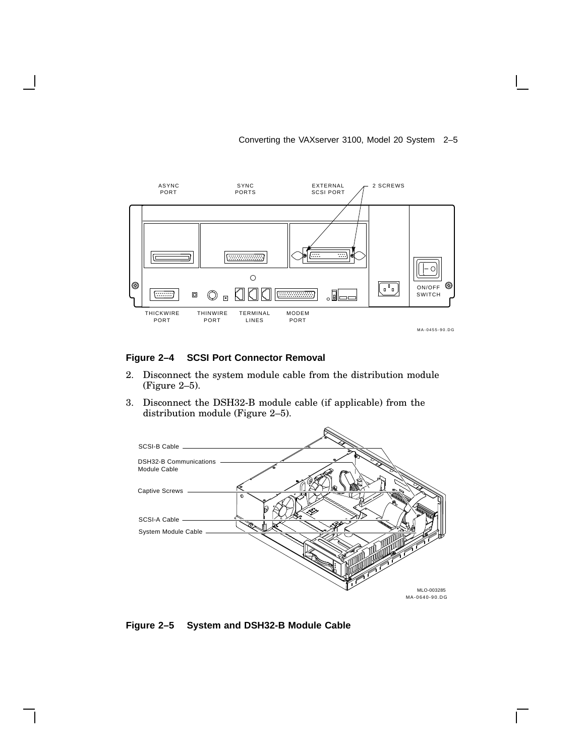#### Converting the VAXserver 3100, Model 20 System 2–5



#### **Figure 2–4 SCSI Port Connector Removal**

- 2. Disconnect the system module cable from the distribution module (Figure 2–5).
- 3. Disconnect the DSH32-B module cable (if applicable) from the distribution module (Figure 2–5).



 $\mathbf{I}$ 

**Figure 2–5 System and DSH32-B Module Cable**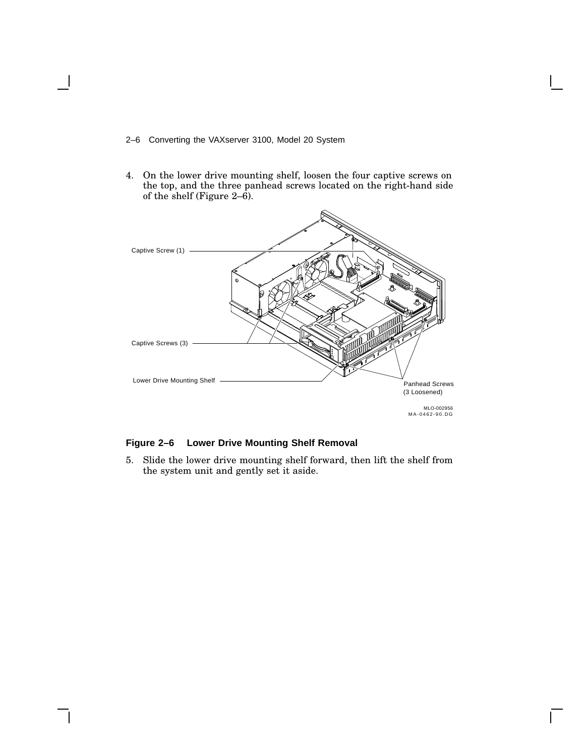- 2–6 Converting the VAXserver 3100, Model 20 System
- 4. On the lower drive mounting shelf, loosen the four captive screws on the top, and the three panhead screws located on the right-hand side of the shelf (Figure 2–6).



#### **Figure 2–6 Lower Drive Mounting Shelf Removal**

5. Slide the lower drive mounting shelf forward, then lift the shelf from the system unit and gently set it aside.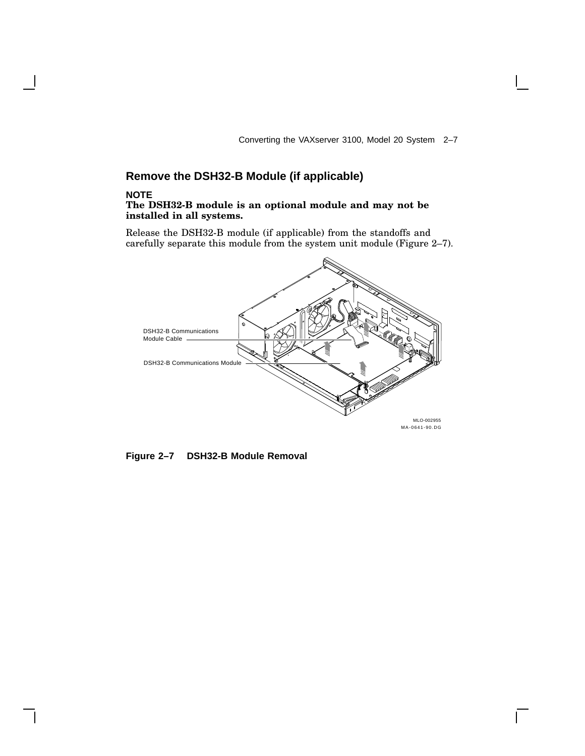Converting the VAXserver 3100, Model 20 System 2–7

## **Remove the DSH32-B Module (if applicable)**

#### **NOTE**

#### **The DSH32-B module is an optional module and may not be installed in all systems.**

Release the DSH32-B module (if applicable) from the standoffs and carefully separate this module from the system unit module (Figure 2–7).



**Figure 2–7 DSH32-B Module Removal**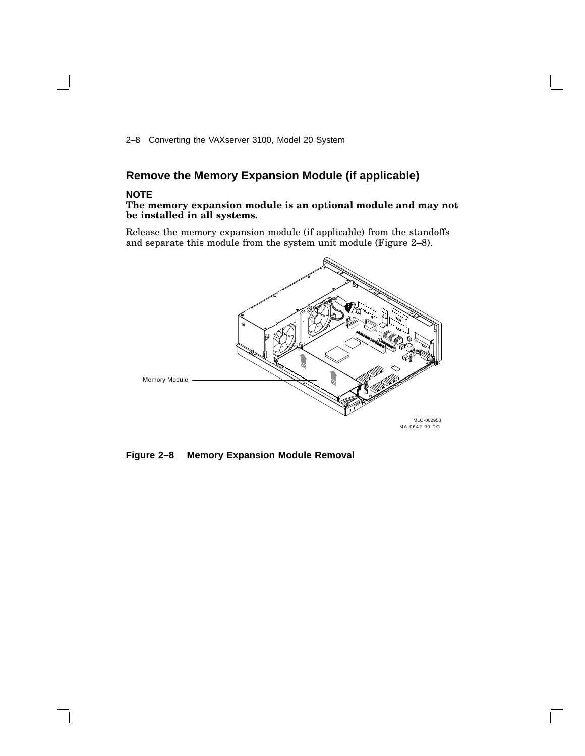2–8 Converting the VAXserver 3100, Model 20 System

## **Remove the Memory Expansion Module (if applicable)**

#### **NOTE**

#### **The memory expansion module is an optional module and may not be installed in all systems.**

Release the memory expansion module (if applicable) from the standoffs and separate this module from the system unit module (Figure 2–8).



**Figure 2–8 Memory Expansion Module Removal**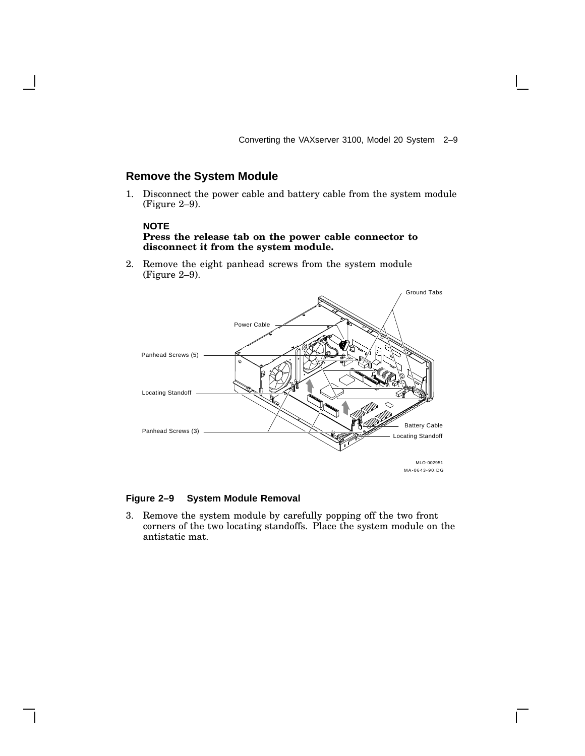Converting the VAXserver 3100, Model 20 System 2–9

#### **Remove the System Module**

1. Disconnect the power cable and battery cable from the system module (Figure 2–9).

#### **NOTE**

#### **Press the release tab on the power cable connector to disconnect it from the system module.**

2. Remove the eight panhead screws from the system module (Figure 2–9).



#### **Figure 2–9 System Module Removal**

3. Remove the system module by carefully popping off the two front corners of the two locating standoffs. Place the system module on the antistatic mat.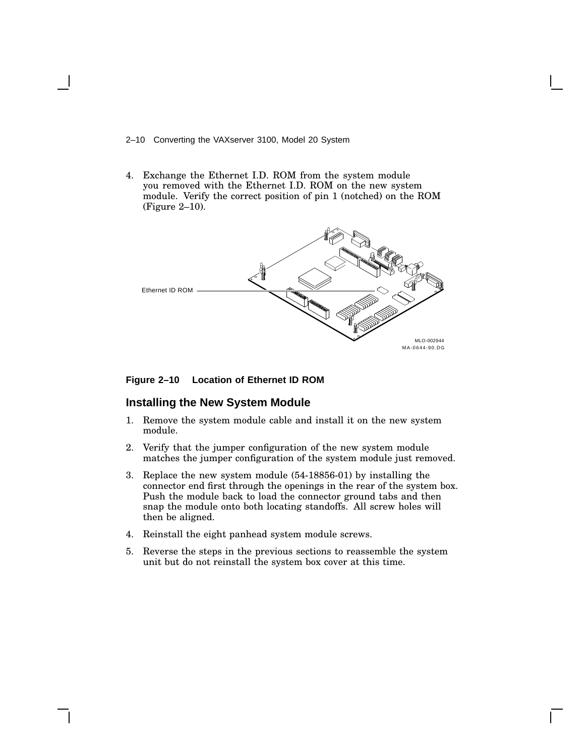#### 2–10 Converting the VAXserver 3100, Model 20 System

4. Exchange the Ethernet I.D. ROM from the system module you removed with the Ethernet I.D. ROM on the new system module. Verify the correct position of pin 1 (notched) on the ROM (Figure 2–10).



#### **Figure 2–10 Location of Ethernet ID ROM**

#### **Installing the New System Module**

- 1. Remove the system module cable and install it on the new system module.
- 2. Verify that the jumper configuration of the new system module matches the jumper configuration of the system module just removed.
- 3. Replace the new system module (54-18856-01) by installing the connector end first through the openings in the rear of the system box. Push the module back to load the connector ground tabs and then snap the module onto both locating standoffs. All screw holes will then be aligned.
- 4. Reinstall the eight panhead system module screws.
- 5. Reverse the steps in the previous sections to reassemble the system unit but do not reinstall the system box cover at this time.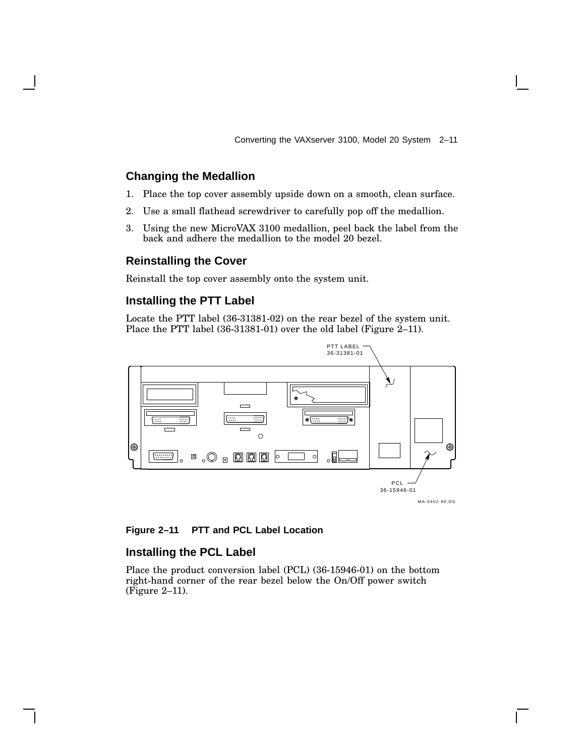Converting the VAXserver 3100, Model 20 System 2–11

#### **Changing the Medallion**

- 1. Place the top cover assembly upside down on a smooth, clean surface.
- 2. Use a small flathead screwdriver to carefully pop off the medallion.
- 3. Using the new MicroVAX 3100 medallion, peel back the label from the back and adhere the medallion to the model 20 bezel.

#### **Reinstalling the Cover**

Reinstall the top cover assembly onto the system unit.

#### **Installing the PTT Label**

Locate the PTT label (36-31381-02) on the rear bezel of the system unit. Place the PTT label (36-31381-01) over the old label (Figure 2–11).



**Figure 2–11 PTT and PCL Label Location**

#### **Installing the PCL Label**

Place the product conversion label (PCL) (36-15946-01) on the bottom right-hand corner of the rear bezel below the On/Off power switch (Figure 2–11).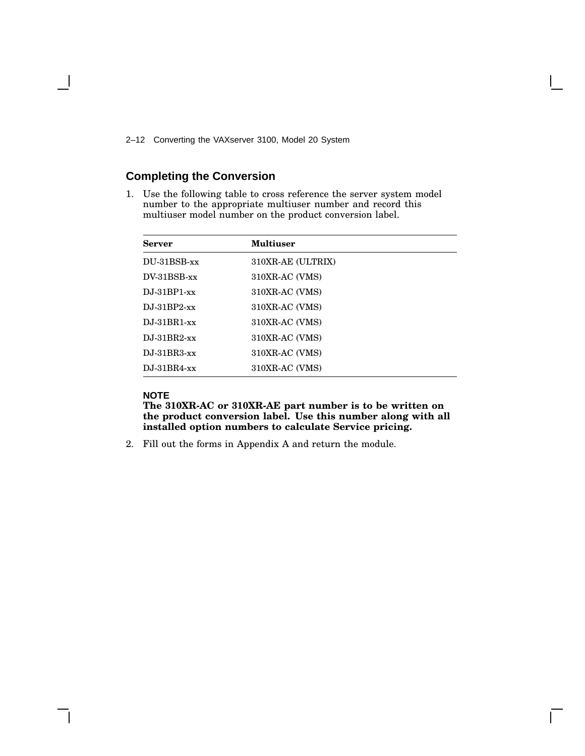2–12 Converting the VAXserver 3100, Model 20 System

## **Completing the Conversion**

1. Use the following table to cross reference the server system model number to the appropriate multiuser number and record this multiuser model number on the product conversion label.

| <b>Server</b>  | Multiuser         |
|----------------|-------------------|
| DU-31BSB-xx    | 310XR-AE (ULTRIX) |
| $DV-31BSB-xx$  | 310XR-AC (VMS)    |
| $DJ-31BP1-xx$  | 310XR-AC (VMS)    |
| $DJ-31BP2-xx$  | 310XR-AC (VMS)    |
| $DJ-31BR1-xx$  | 310XR-AC (VMS)    |
| $DJ-31BR2$ -xx | 310XR-AC (VMS)    |
| $DJ-31BR3-xx$  | 310XR-AC (VMS)    |
| $DJ-31BR4$ -xx | 310XR-AC (VMS)    |

#### **NOTE**

**The 310XR-AC or 310XR-AE part number is to be written on the product conversion label. Use this number along with all installed option numbers to calculate Service pricing.**

2. Fill out the forms in Appendix A and return the module.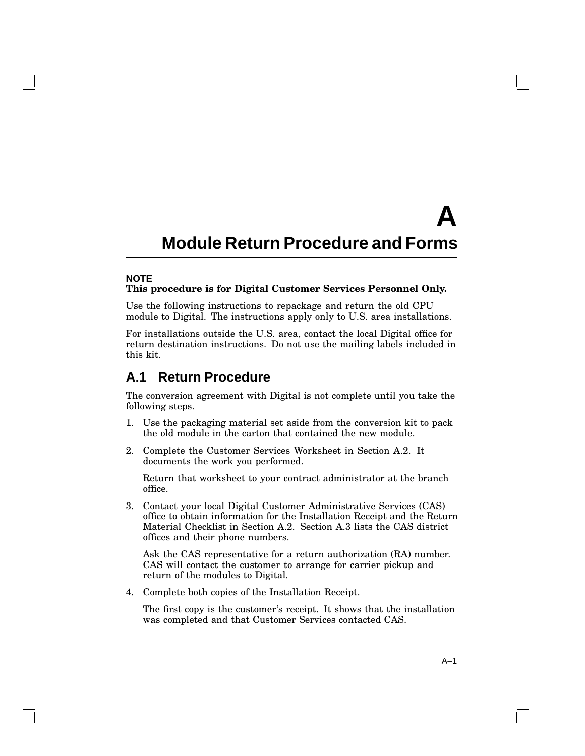#### **NOTE This procedure is for Digital Customer Services Personnel Only.**

Use the following instructions to repackage and return the old CPU module to Digital. The instructions apply only to U.S. area installations.

For installations outside the U.S. area, contact the local Digital office for return destination instructions. Do not use the mailing labels included in this kit.

## **A.1 Return Procedure**

The conversion agreement with Digital is not complete until you take the following steps.

- 1. Use the packaging material set aside from the conversion kit to pack the old module in the carton that contained the new module.
- 2. Complete the Customer Services Worksheet in Section A.2. It documents the work you performed.

Return that worksheet to your contract administrator at the branch office.

3. Contact your local Digital Customer Administrative Services (CAS) office to obtain information for the Installation Receipt and the Return Material Checklist in Section A.2. Section A.3 lists the CAS district offices and their phone numbers.

Ask the CAS representative for a return authorization (RA) number. CAS will contact the customer to arrange for carrier pickup and return of the modules to Digital.

4. Complete both copies of the Installation Receipt.

The first copy is the customer's receipt. It shows that the installation was completed and that Customer Services contacted CAS.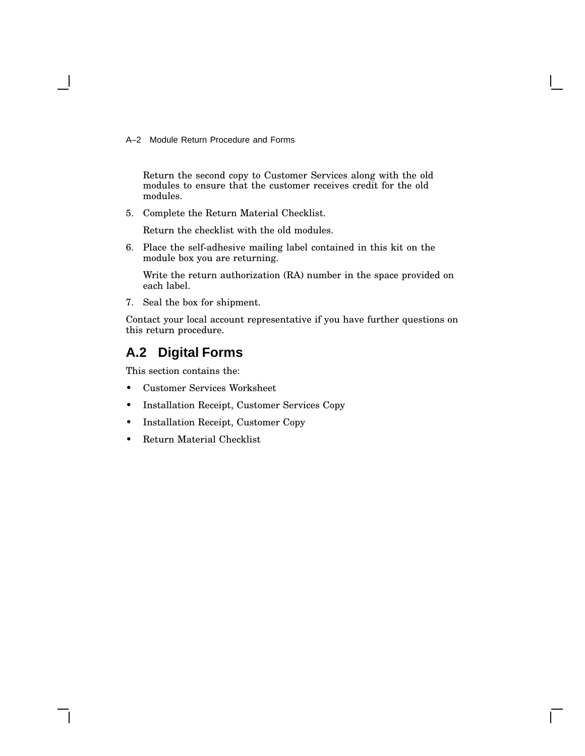Return the second copy to Customer Services along with the old modules to ensure that the customer receives credit for the old modules.

5. Complete the Return Material Checklist.

Return the checklist with the old modules.

6. Place the self-adhesive mailing label contained in this kit on the module box you are returning.

Write the return authorization (RA) number in the space provided on each label.

7. Seal the box for shipment.

Contact your local account representative if you have further questions on this return procedure.

## **A.2 Digital Forms**

This section contains the:

- Customer Services Worksheet
- Installation Receipt, Customer Services Copy
- Installation Receipt, Customer Copy
- Return Material Checklist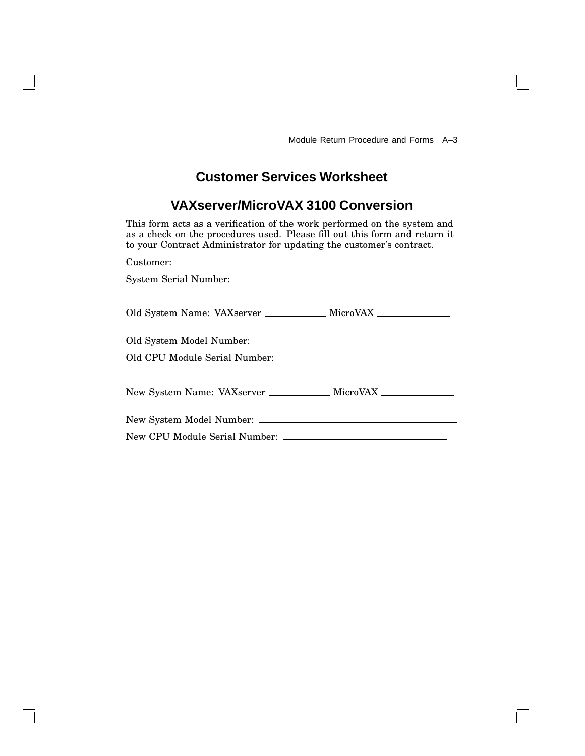Г

## **Customer Services Worksheet**

## **VAXserver/MicroVAX 3100 Conversion**

This form acts as a verification of the work performed on the system and as a check on the procedures used. Please fill out this form and return it to your Contract Administrator for updating the customer's contract.

| Old System Name: VAXserver _____________ MicroVAX _______________________________ |  |
|-----------------------------------------------------------------------------------|--|
|                                                                                   |  |
|                                                                                   |  |
|                                                                                   |  |
|                                                                                   |  |
| New System Name: VAXserver ____________ MicroVAX ____________                     |  |
|                                                                                   |  |
|                                                                                   |  |
|                                                                                   |  |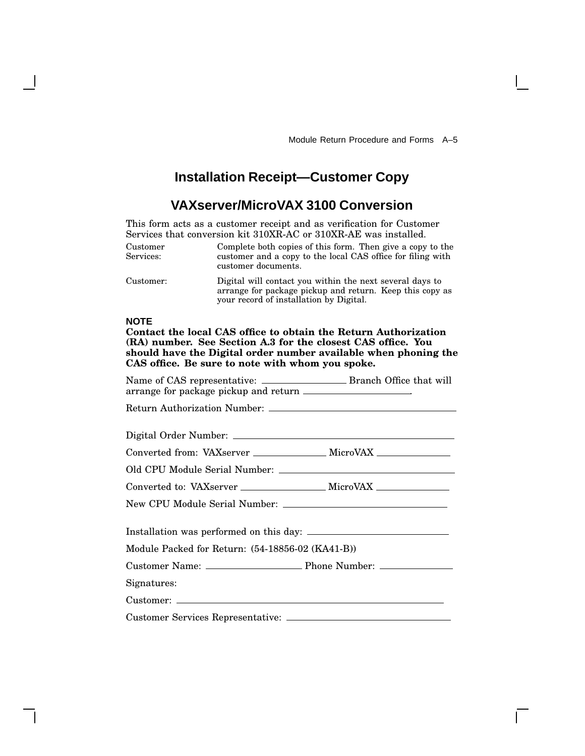## **Installation Receipt—Customer Copy**

## **VAXserver/MicroVAX 3100 Conversion**

This form acts as a customer receipt and as verification for Customer Services that conversion kit 310XR-AC or 310XR-AE was installed.

| Customer<br>Services: | Complete both copies of this form. Then give a copy to the<br>customer and a copy to the local CAS office for filing with<br>customer documents. |
|-----------------------|--------------------------------------------------------------------------------------------------------------------------------------------------|
|                       |                                                                                                                                                  |

Customer: Digital will contact you within the next several days to arrange for package pickup and return. Keep this copy as your record of installation by Digital.

#### **NOTE**

**Contact the local CAS office to obtain the Return Authorization (RA) number. See Section A.3 for the closest CAS office. You should have the Digital order number available when phoning the CAS office. Be sure to note with whom you spoke.**

| Converted from: VAXserver _________________ MicroVAX ___________________________ |  |
|----------------------------------------------------------------------------------|--|
|                                                                                  |  |
| Converted to: VAXserver _____________________ MicroVAX _________________________ |  |
|                                                                                  |  |
|                                                                                  |  |
| Module Packed for Return: (54-18856-02 (KA41-B))                                 |  |
|                                                                                  |  |
| Signatures:                                                                      |  |
|                                                                                  |  |
|                                                                                  |  |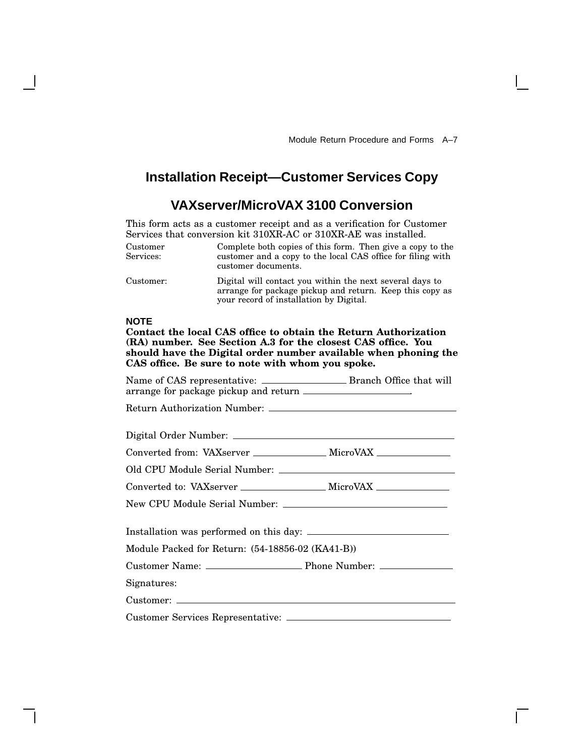## **Installation Receipt—Customer Services Copy**

## **VAXserver/MicroVAX 3100 Conversion**

This form acts as a customer receipt and as a verification for Customer Services that conversion kit 310XR-AC or 310XR-AE was installed.

| Customer<br>Services: | Complete both copies of this form. Then give a copy to the<br>customer and a copy to the local CAS office for filing with<br>customer documents. |
|-----------------------|--------------------------------------------------------------------------------------------------------------------------------------------------|
|                       |                                                                                                                                                  |

Customer: Digital will contact you within the next several days to arrange for package pickup and return. Keep this copy as your record of installation by Digital.

#### **NOTE**

**Contact the local CAS office to obtain the Return Authorization (RA) number. See Section A.3 for the closest CAS office. You should have the Digital order number available when phoning the CAS office. Be sure to note with whom you spoke.**

| Converted from: VAXserver ________________ MicroVAX _______________              |  |
|----------------------------------------------------------------------------------|--|
|                                                                                  |  |
| Converted to: VAXserver _______________________ MicroVAX _______________________ |  |
|                                                                                  |  |
|                                                                                  |  |
| Module Packed for Return: (54-18856-02 (KA41-B))                                 |  |
|                                                                                  |  |
| Signatures:                                                                      |  |
|                                                                                  |  |
|                                                                                  |  |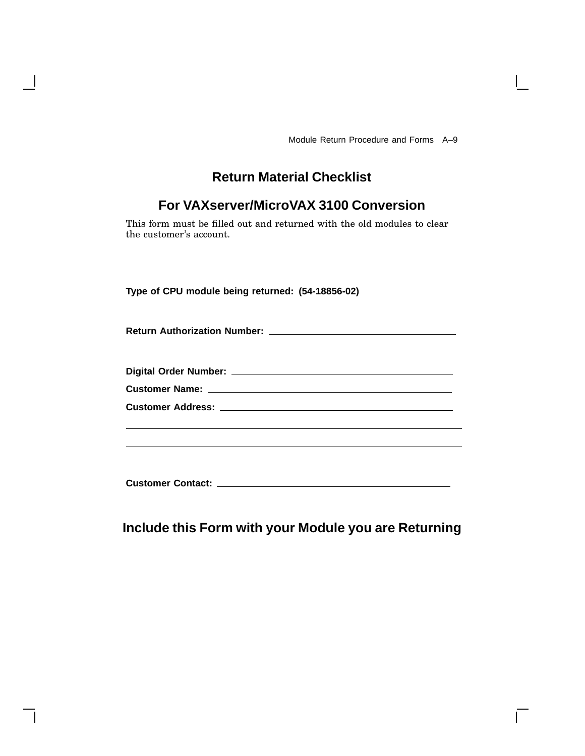## **Return Material Checklist**

## **For VAXserver/MicroVAX 3100 Conversion**

This form must be filled out and returned with the old modules to clear the customer's account.

**Type of CPU module being returned: (54-18856-02)**

| <b>Return Authorization Number:</b> |  |  |
|-------------------------------------|--|--|
|                                     |  |  |

| <b>Digital Order Number:</b> |
|------------------------------|
|------------------------------|

**Customer Name:**

| <b>Customer Address:</b> |  |  |  |
|--------------------------|--|--|--|
|                          |  |  |  |

**Customer Contact:**

## **Include this Form with your Module you are Returning**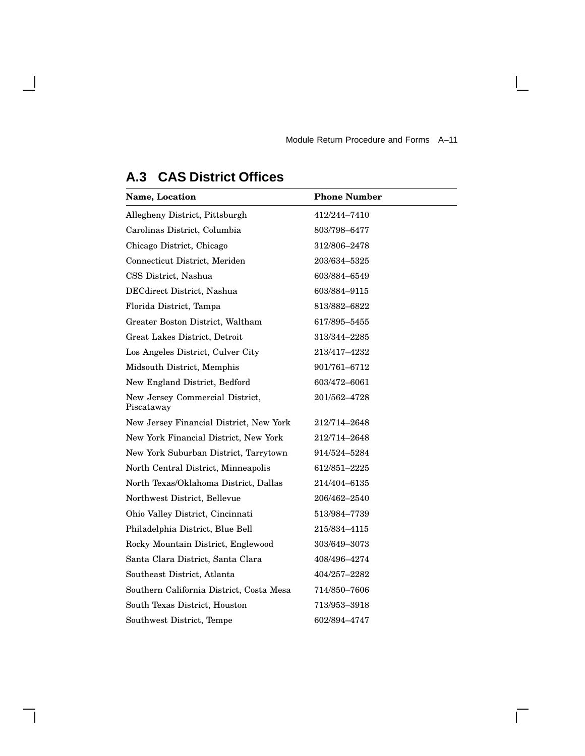## **Name, Location Phone Number** Allegheny District, Pittsburgh 412/244-7410 Carolinas District, Columbia 803/798–6477 Chicago District, Chicago 312/806–2478 Connecticut District, Meriden 203/634–5325 CSS District, Nashua 603/884–6549 DECdirect District, Nashua 603/884–9115 Florida District, Tampa 813/882-6822 Greater Boston District, Waltham 617/895–5455 Great Lakes District, Detroit 313/344–2285 Los Angeles District, Culver City 213/417–4232 Midsouth District, Memphis 901/761–6712 New England District, Bedford 603/472–6061 New Jersey Commercial District, Piscataway 201/562–4728 New Jersey Financial District, New York 212/714–2648 New York Financial District, New York 212/714–2648 New York Suburban District, Tarrytown 914/524–5284 North Central District, Minneapolis 612/851–2225 North Texas/Oklahoma District, Dallas 214/404–6135 Northwest District, Bellevue 206/462–2540 Ohio Valley District, Cincinnati 513/984–7739 Philadelphia District, Blue Bell 215/834–4115 Rocky Mountain District, Englewood 303/649–3073 Santa Clara District, Santa Clara 408/496-4274 Southeast District, Atlanta 404/257–2282 Southern California District, Costa Mesa 714/850–7606 South Texas District, Houston 713/953–3918 Southwest District, Tempe 602/894-4747

## **A.3 CAS District Offices**